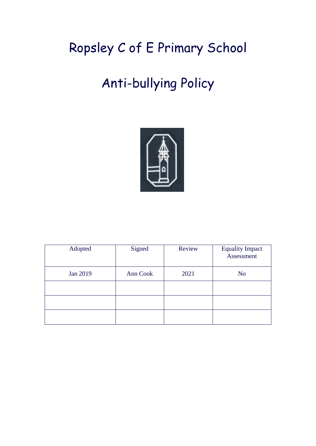# Ropsley C of E Primary School

# Anti-bullying Policy



| Adopted  | Signed   | Review | <b>Equality Impact</b><br>Assessment |
|----------|----------|--------|--------------------------------------|
| Jan 2019 | Ann Cook | 2021   | N <sub>o</sub>                       |
|          |          |        |                                      |
|          |          |        |                                      |
|          |          |        |                                      |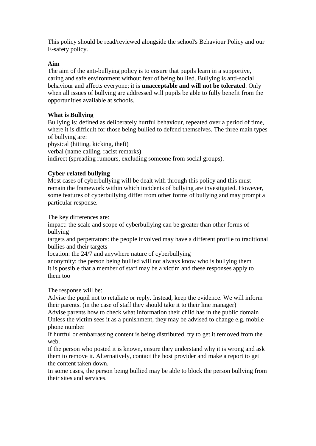This policy should be read/reviewed alongside the school's Behaviour Policy and our E-safety policy.

#### **Aim**

The aim of the anti-bullying policy is to ensure that pupils learn in a supportive, caring and safe environment without fear of being bullied. Bullying is anti-social behaviour and affects everyone; it is **unacceptable and will not be tolerated**. Only when all issues of bullying are addressed will pupils be able to fully benefit from the opportunities available at schools.

# **What is Bullying**

Bullying is: defined as deliberately hurtful behaviour, repeated over a period of time, where it is difficult for those being bullied to defend themselves. The three main types of bullying are:

physical (hitting, kicking, theft) verbal (name calling, racist remarks) indirect (spreading rumours, excluding someone from social groups).

# **Cyber-related bullying**

Most cases of cyberbullying will be dealt with through this policy and this must remain the framework within which incidents of bullying are investigated. However, some features of cyberbullying differ from other forms of bullying and may prompt a particular response.

The key differences are:

impact: the scale and scope of cyberbullying can be greater than other forms of bullying

targets and perpetrators: the people involved may have a different profile to traditional bullies and their targets

location: the 24/7 and anywhere nature of cyberbullying

anonymity: the person being bullied will not always know who is bullying them it is possible that a member of staff may be a victim and these responses apply to them too

The response will be:

Advise the pupil not to retaliate or reply. Instead, keep the evidence. We will inform their parents. (in the case of staff they should take it to their line manager)

Advise parents how to check what information their child has in the public domain Unless the victim sees it as a punishment, they may be advised to change e.g. mobile phone number

If hurtful or embarrassing content is being distributed, try to get it removed from the web.

If the person who posted it is known, ensure they understand why it is wrong and ask them to remove it. Alternatively, contact the host provider and make a report to get the content taken down.

In some cases, the person being bullied may be able to block the person bullying from their sites and services.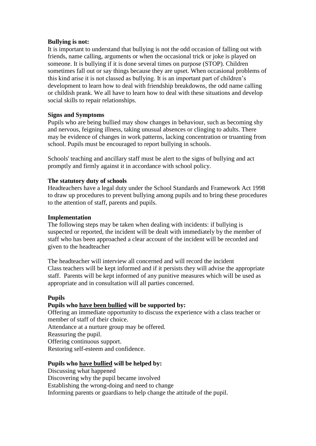#### **Bullying is not:**

It is important to understand that bullying is not the odd occasion of falling out with friends, name calling, arguments or when the occasional trick or joke is played on someone. It is bullying if it is done several times on purpose (STOP). Children sometimes fall out or say things because they are upset. When occasional problems of this kind arise it is not classed as bullying. It is an important part of children's development to learn how to deal with friendship breakdowns, the odd name calling or childish prank. We all have to learn how to deal with these situations and develop social skills to repair relationships.

#### **Signs and Symptoms**

Pupils who are being bullied may show changes in behaviour, such as becoming shy and nervous, feigning illness, taking unusual absences or clinging to adults. There may be evidence of changes in work patterns, lacking concentration or truanting from school. Pupils must be encouraged to report bullying in schools.

Schools' teaching and ancillary staff must be alert to the signs of bullying and act promptly and firmly against it in accordance with school policy.

#### **The statutory duty of schools**

Headteachers have a legal duty under the School Standards and Framework Act 1998 to draw up procedures to prevent bullying among pupils and to bring these procedures to the attention of staff, parents and pupils.

#### **Implementation**

The following steps may be taken when dealing with incidents: if bullying is suspected or reported, the incident will be dealt with immediately by the member of staff who has been approached a clear account of the incident will be recorded and given to the headteacher

The headteacher will interview all concerned and will record the incident Class teachers will be kept informed and if it persists they will advise the appropriate staff. Parents will be kept informed of any punitive measures which will be used as appropriate and in consultation will all parties concerned.

# **Pupils**

# **Pupils who have been bullied will be supported by:**

Offering an immediate opportunity to discuss the experience with a class teacher or member of staff of their choice.

Attendance at a nurture group may be offered.

Reassuring the pupil.

Offering continuous support.

Restoring self-esteem and confidence.

# **Pupils who have bullied will be helped by:**

Discussing what happened Discovering why the pupil became involved Establishing the wrong-doing and need to change Informing parents or guardians to help change the attitude of the pupil.